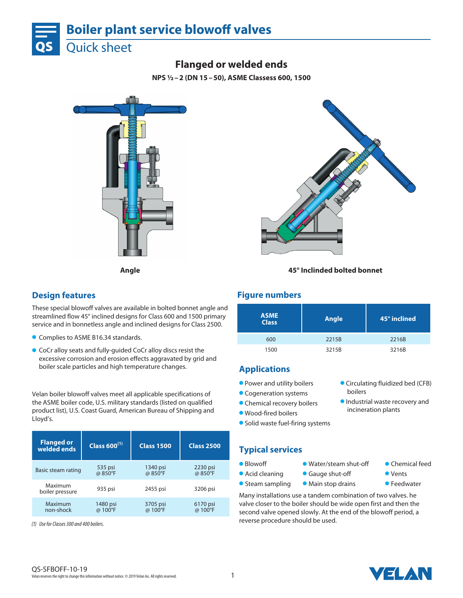

# **Flanged or welded ends**

**NPS ½–2 (DN 15–50), ASME Classess 600, 1500**





### **Angle 45° Inclinded bolted bonnet**

### **Design features**

These special blowoff valves are available in bolted bonnet angle and streamlined flow 45° inclined designs for Class 600 and 1500 primary service and in bonnetless angle and inclined designs for Class 2500.

- **Complies to ASME B16.34 standards.**
- **CoCr alloy seats and fully-quided CoCr alloy discs resist the** excessive corrosion and erosion effects aggravated by grid and boiler scale particles and high temperature changes.

Velan boiler blowoff valves meet all applicable specifications of the ASME boiler code, U.S. military standards (listed on qualified product list), U.S. Coast Guard, American Bureau of Shipping and Lloyd's.

| <b>Flanged or</b><br>welded ends | Class $600^{(1)}$ | <b>Class 1500</b> | <b>Class 2500</b> |
|----------------------------------|-------------------|-------------------|-------------------|
| Basic steam rating               | 535 psi           | 1340 psi          | 2230 psi          |
|                                  | @ 850°F           | @ 850°F           | @ 850°F           |
| Maximum<br>boiler pressure       | 935 psi           | 2455 psi          | 3206 psi          |
| Maximum                          | 1480 psi          | 3705 psi          | 6170 psi          |
| non-shock                        | @ 100°F           | @ 100°F           | @ 100°F           |

*(1) Use for Classes 300 and 400 boilers.*

### **Figure numbers**

| <b>ASME</b><br><b>Class</b> | Angle | 45° inclined |
|-----------------------------|-------|--------------|
| 600                         | 2215B | 2216B        |
| 1500                        | 3215B | 3216B        |

## **Applications**

- **Power and utility boilers**
- **Cogeneration systems**
- **Chemical recovery boilers**
- l Wood-fired boilers
- **•** Solid waste fuel-firing systems
- **Typical services**
- Blowoff **Water/steam shut-off** Chemical feed
- Acid cleaning Gauge shut-off **Cauging** Vents
- **Steam sampling Main stop drains • Feedwater**
- **Circulating fluidized bed (CFB)** boilers
- **Industrial waste recovery and** incineration plants
	-
	-
	-

Many installations use a tandem combination of two valves. he valve closer to the boiler should be wide open first and then the second valve opened slowly. At the end of the blowoff period, a reverse procedure should be used.